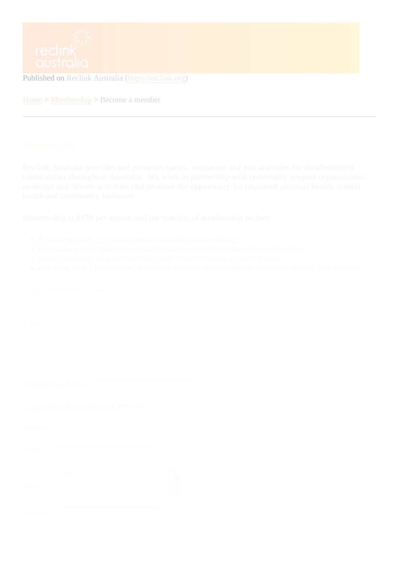Home > Membership Become a member

## Membership<sup>[1]</sup>

Reclink Australia provides and promotes sports, recreation and arts activities for disadvantaged [communitie](https://reclink.org/membership)s throughout Australia. We work in partnership with community support organisations to design and deliver activities that promote the opportunity for improved physical health, mental health and community inclusion.

Membership is \$150 per annum and the benefits of membership include

- Accessing sport, recreation and art activities on weekdays
- Networking with other organisations supporting disadvantaged communities
- The opportunity to introduce new sport & art activities to your clients
- Assisting your clients to integrate into mainstream community activities through our activities

## Online Membership Form

| Is this $a^*$                           |
|-----------------------------------------|
| ?<br>?                                  |
| ?                                       |
| Organisation Name                       |
| Organisation Department (if applicable) |
| Address*                                |
| Suburb*                                 |
| $\overline{?}$<br>- Select -<br>State*  |
|                                         |
| Postcode                                |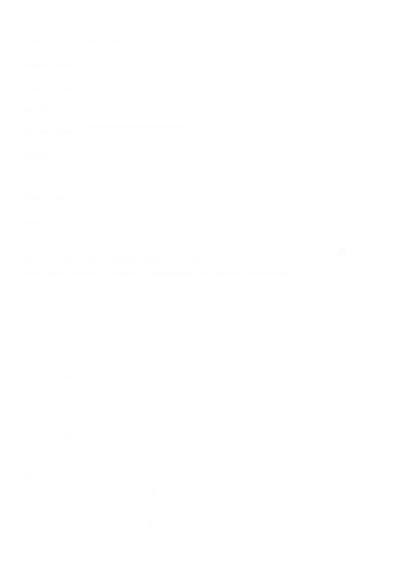| <b>Local Government Municipality</b> |                |
|--------------------------------------|----------------|
| <b>Website Address</b>               |                |
| <b>Contact Person</b>                |                |
| <b>Job Title</b>                     |                |
| <b>Business Phone</b>                |                |
| Mobile                               |                |
| Email                                |                |
| <b>Target Group</b>                  |                |
| Other: I                             |                |
|                                      | $\mathbb{R}^d$ |